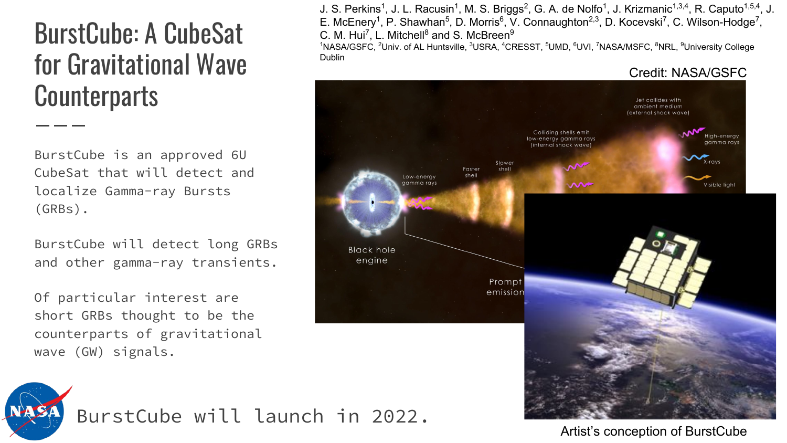# BurstCube: A CubeSat for Gravitational Wave **Counterparts**

BurstCube is an approved 6U CubeSat that will detect and localize Gamma-ray Bursts (GRBs).

BurstCube will detect long GRBs and other gamma-ray transients.

Of particular interest are short GRBs thought to be the counterparts of gravitational wave (GW) signals.

J. S. Perkins<sup>1</sup>, J. L. Racusin<sup>1</sup>, M. S. Briggs<sup>2</sup>, G. A. de Nolfo<sup>1</sup>, J. Krizmanic<sup>1,3,4</sup>, R. Caputo<sup>1,5,4</sup>, J. E. McEnery<sup>1</sup>, P. Shawhan<sup>5</sup>, D. Morris<sup>6</sup>, V. Connaughton<sup>2,3</sup>, D. Kocevski<sup>7</sup>, C. Wilson-Hodge<sup>7</sup>, C. M. Hui<sup>7</sup>, L. Mitchell<sup>8</sup> and S. McBreen<sup>9</sup>

1NASA/GSFC, <sup>2</sup>Univ. of AL Huntsville, <sup>3</sup>USRA, <sup>4</sup>CRESST, <sup>5</sup>UMD, <sup>6</sup>UVI, <sup>7</sup>NASA/MSFC, <sup>8</sup>NRL, <sup>9</sup>University College Dublin

Credit: NASA/GSFC ambient medium external shock wave Frays: Slower Easter ow-energy nma rav  $\overline{\mathbf{M}}$ Visible light **Black hole** engine Prompt emissior



Artist's conception of BurstCube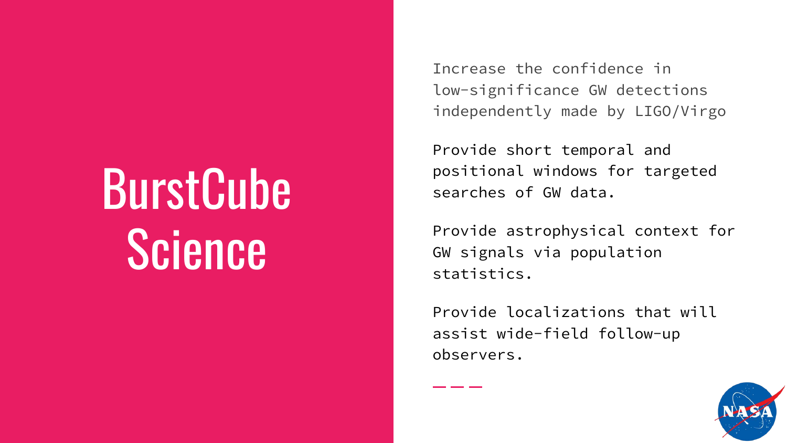# **BurstCube** Science

Increase the confidence in low-significance GW detections independently made by LIGO/Virgo

Provide short temporal and positional windows for targeted searches of GW data.

Provide astrophysical context for GW signals via population statistics.

Provide localizations that will assist wide-field follow-up observers.

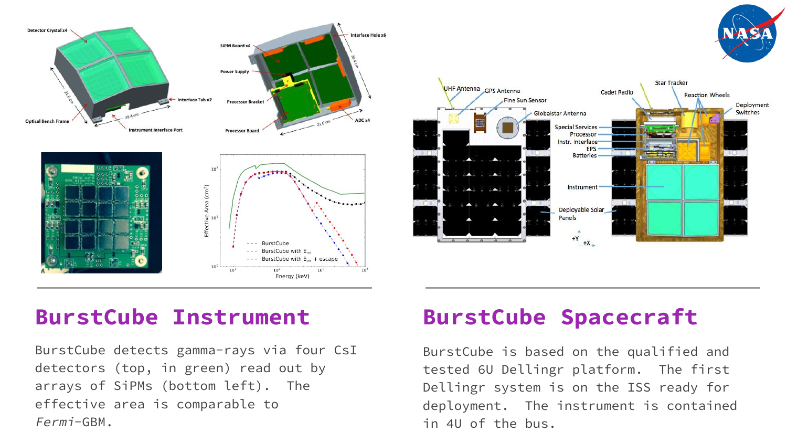



#### **BurstCube Instrument**

BurstCube detects gamma-rays via four CsI detectors (top, in green) read out by arrays of SiPMs (bottom left). The effective area is comparable to Fermi-GBM.

#### **BurstCube Spacecraft**

BurstCube is based on the qualified and tested 6U Dellingr platform. The first Dellingr system is on the ISS ready for deployment. The instrument is contained in 4U of the bus.